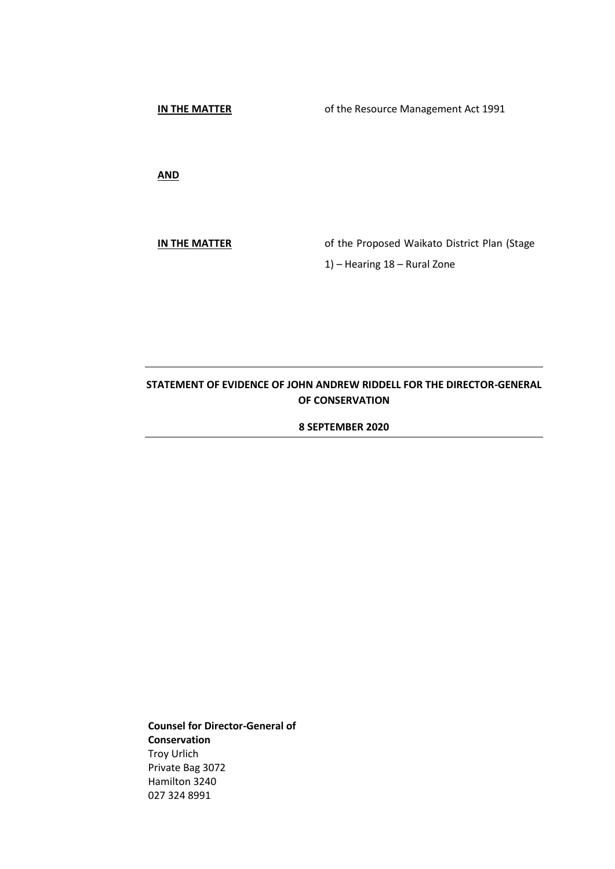**IN THE MATTER**

of the Resource Management Act 1991

**AND**

**IN THE MATTER** of the Proposed Waikato District Plan (Stage 1) – Hearing 18 – Rural Zone

# **STATEMENT OF EVIDENCE OF JOHN ANDREW RIDDELL FOR THE DIRECTOR-GENERAL OF CONSERVATION**

**8 SEPTEMBER 2020**

**Counsel for Director-General of Conservation** Troy Urlich Private Bag 3072 Hamilton 3240 027 324 8991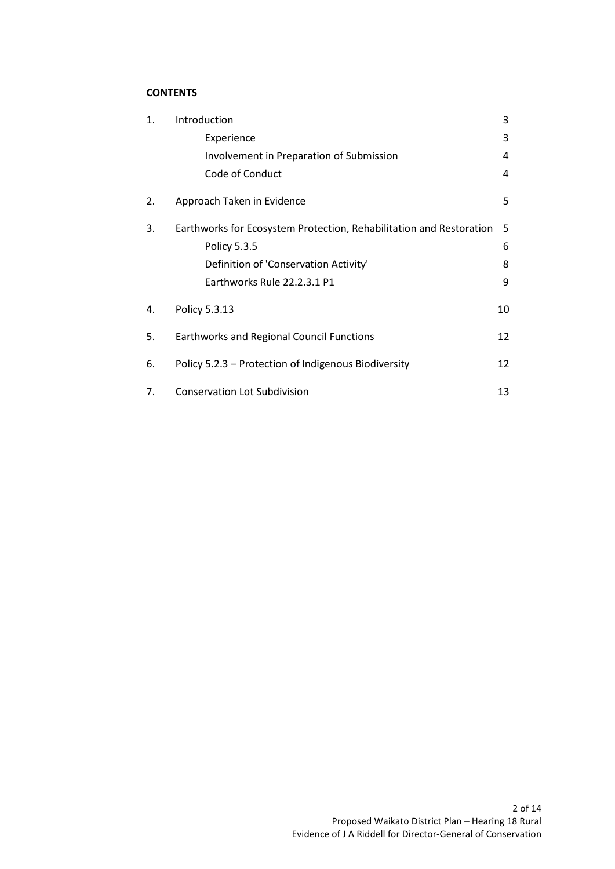# **CONTENTS**

| 1. | Introduction                                                        | 3  |
|----|---------------------------------------------------------------------|----|
|    | Experience                                                          | 3  |
|    | Involvement in Preparation of Submission                            | 4  |
|    | Code of Conduct                                                     | 4  |
| 2. | Approach Taken in Evidence                                          | 5  |
| 3. | Earthworks for Ecosystem Protection, Rehabilitation and Restoration | 5  |
|    | Policy 5.3.5                                                        | 6  |
|    | Definition of 'Conservation Activity'                               | 8  |
|    | Earthworks Rule 22.2.3.1 P1                                         | 9  |
| 4. | Policy 5.3.13                                                       | 10 |
| 5. | <b>Earthworks and Regional Council Functions</b>                    | 12 |
| 6. | Policy 5.2.3 - Protection of Indigenous Biodiversity                | 12 |
| 7. | <b>Conservation Lot Subdivision</b>                                 | 13 |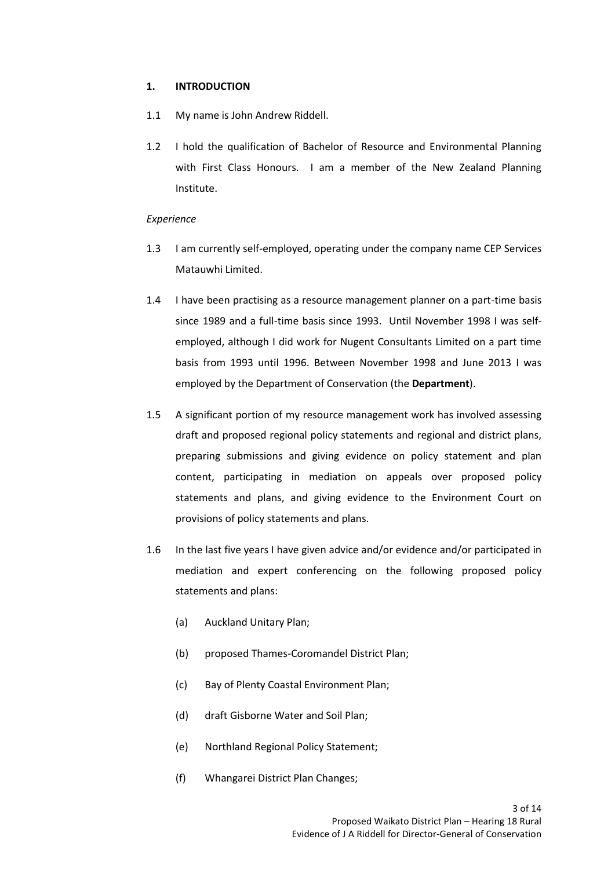## **1. INTRODUCTION**

- 1.1 My name is John Andrew Riddell.
- 1.2 I hold the qualification of Bachelor of Resource and Environmental Planning with First Class Honours. I am a member of the New Zealand Planning Institute.

## *Experience*

- 1.3 I am currently self-employed, operating under the company name CEP Services Matauwhi Limited.
- 1.4 I have been practising as a resource management planner on a part-time basis since 1989 and a full-time basis since 1993. Until November 1998 I was selfemployed, although I did work for Nugent Consultants Limited on a part time basis from 1993 until 1996. Between November 1998 and June 2013 I was employed by the Department of Conservation (the **Department**).
- 1.5 A significant portion of my resource management work has involved assessing draft and proposed regional policy statements and regional and district plans, preparing submissions and giving evidence on policy statement and plan content, participating in mediation on appeals over proposed policy statements and plans, and giving evidence to the Environment Court on provisions of policy statements and plans.
- 1.6 In the last five years I have given advice and/or evidence and/or participated in mediation and expert conferencing on the following proposed policy statements and plans:
	- (a) Auckland Unitary Plan;
	- (b) proposed Thames-Coromandel District Plan;
	- (c) Bay of Plenty Coastal Environment Plan;
	- (d) draft Gisborne Water and Soil Plan;
	- (e) Northland Regional Policy Statement;
	- (f) Whangarei District Plan Changes;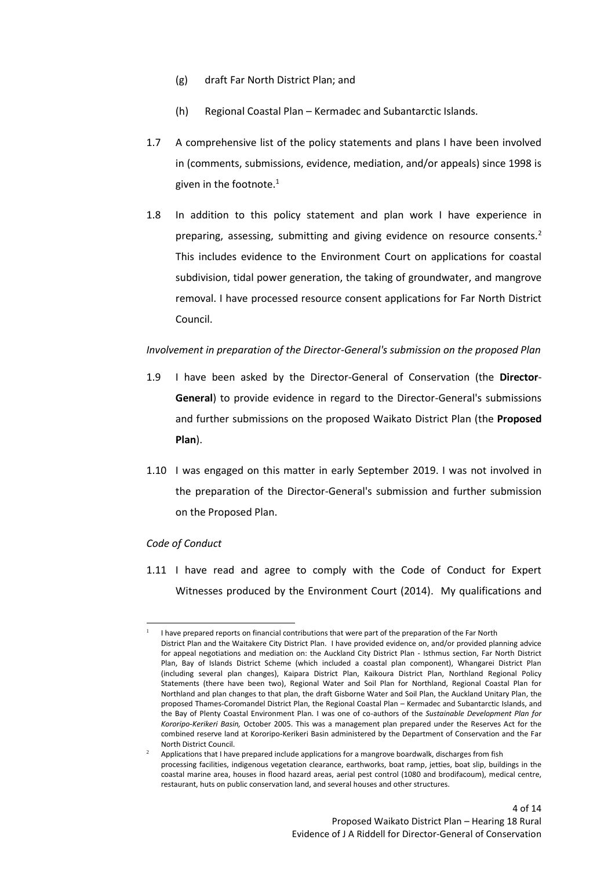- (g) draft Far North District Plan; and
- (h) Regional Coastal Plan Kermadec and Subantarctic Islands.
- 1.7 A comprehensive list of the policy statements and plans I have been involved in (comments, submissions, evidence, mediation, and/or appeals) since 1998 is given in the footnote. $1$
- 1.8 In addition to this policy statement and plan work I have experience in preparing, assessing, submitting and giving evidence on resource consents.<sup>2</sup> This includes evidence to the Environment Court on applications for coastal subdivision, tidal power generation, the taking of groundwater, and mangrove removal. I have processed resource consent applications for Far North District Council.

## *Involvement in preparation of the Director-General's submission on the proposed Plan*

- 1.9 I have been asked by the Director-General of Conservation (the **Director**-**General**) to provide evidence in regard to the Director-General's submissions and further submissions on the proposed Waikato District Plan (the **Proposed Plan**).
- 1.10 I was engaged on this matter in early September 2019. I was not involved in the preparation of the Director-General's submission and further submission on the Proposed Plan.

### *Code of Conduct*

1.11 I have read and agree to comply with the Code of Conduct for Expert Witnesses produced by the Environment Court (2014). My qualifications and

<sup>1</sup> I have prepared reports on financial contributions that were part of the preparation of the Far North District Plan and the Waitakere City District Plan. I have provided evidence on, and/or provided planning advice for appeal negotiations and mediation on: the Auckland City District Plan - Isthmus section, Far North District Plan, Bay of Islands District Scheme (which included a coastal plan component), Whangarei District Plan (including several plan changes), Kaipara District Plan, Kaikoura District Plan, Northland Regional Policy Statements (there have been two), Regional Water and Soil Plan for Northland, Regional Coastal Plan for Northland and plan changes to that plan, the draft Gisborne Water and Soil Plan, the Auckland Unitary Plan, the proposed Thames-Coromandel District Plan, the Regional Coastal Plan – Kermadec and Subantarctic Islands, and the Bay of Plenty Coastal Environment Plan. I was one of co-authors of the *Sustainable Development Plan for Kororipo-Kerikeri Basin,* October 2005. This was a management plan prepared under the Reserves Act for the combined reserve land at Kororipo-Kerikeri Basin administered by the Department of Conservation and the Far North District Council.

<sup>2</sup> Applications that I have prepared include applications for a mangrove boardwalk, discharges from fish processing facilities, indigenous vegetation clearance, earthworks, boat ramp, jetties, boat slip, buildings in the coastal marine area, houses in flood hazard areas, aerial pest control (1080 and brodifacoum), medical centre, restaurant, huts on public conservation land, and several houses and other structures.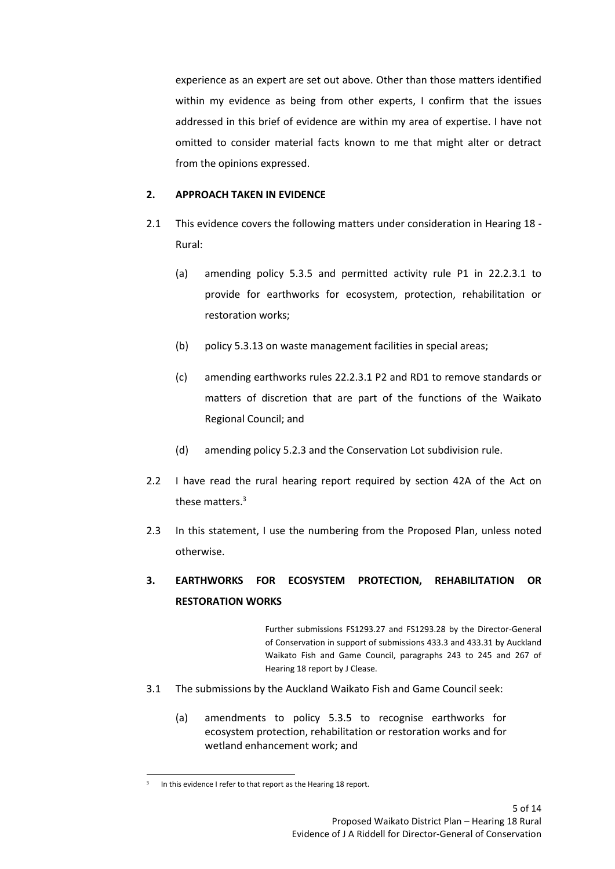experience as an expert are set out above. Other than those matters identified within my evidence as being from other experts, I confirm that the issues addressed in this brief of evidence are within my area of expertise. I have not omitted to consider material facts known to me that might alter or detract from the opinions expressed.

# **2. APPROACH TAKEN IN EVIDENCE**

- 2.1 This evidence covers the following matters under consideration in Hearing 18 Rural:
	- (a) amending policy 5.3.5 and permitted activity rule P1 in 22.2.3.1 to provide for earthworks for ecosystem, protection, rehabilitation or restoration works;
	- (b) policy 5.3.13 on waste management facilities in special areas;
	- (c) amending earthworks rules 22.2.3.1 P2 and RD1 to remove standards or matters of discretion that are part of the functions of the Waikato Regional Council; and
	- (d) amending policy 5.2.3 and the Conservation Lot subdivision rule.
- 2.2 I have read the rural hearing report required by section 42A of the Act on these matters.<sup>3</sup>
- 2.3 In this statement, I use the numbering from the Proposed Plan, unless noted otherwise.

# **3. EARTHWORKS FOR ECOSYSTEM PROTECTION, REHABILITATION OR RESTORATION WORKS**

Further submissions FS1293.27 and FS1293.28 by the Director-General of Conservation in support of submissions 433.3 and 433.31 by Auckland Waikato Fish and Game Council, paragraphs 243 to 245 and 267 of Hearing 18 report by J Clease.

- 3.1 The submissions by the Auckland Waikato Fish and Game Council seek:
	- (a) amendments to policy 5.3.5 to recognise earthworks for ecosystem protection, rehabilitation or restoration works and for wetland enhancement work; and

<sup>3</sup> In this evidence I refer to that report as the Hearing 18 report.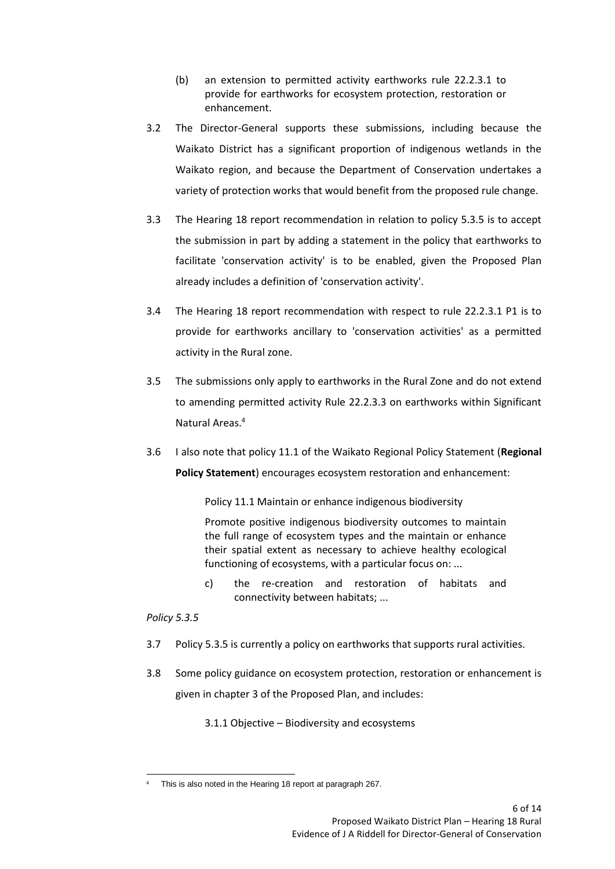- (b) an extension to permitted activity earthworks rule 22.2.3.1 to provide for earthworks for ecosystem protection, restoration or enhancement.
- 3.2 The Director-General supports these submissions, including because the Waikato District has a significant proportion of indigenous wetlands in the Waikato region, and because the Department of Conservation undertakes a variety of protection works that would benefit from the proposed rule change.
- 3.3 The Hearing 18 report recommendation in relation to policy 5.3.5 is to accept the submission in part by adding a statement in the policy that earthworks to facilitate 'conservation activity' is to be enabled, given the Proposed Plan already includes a definition of 'conservation activity'.
- 3.4 The Hearing 18 report recommendation with respect to rule 22.2.3.1 P1 is to provide for earthworks ancillary to 'conservation activities' as a permitted activity in the Rural zone.
- 3.5 The submissions only apply to earthworks in the Rural Zone and do not extend to amending permitted activity Rule 22.2.3.3 on earthworks within Significant Natural Areas.<sup>4</sup>
- 3.6 I also note that policy 11.1 of the Waikato Regional Policy Statement (**Regional Policy Statement**) encourages ecosystem restoration and enhancement:

Policy 11.1 Maintain or enhance indigenous biodiversity

Promote positive indigenous biodiversity outcomes to maintain the full range of ecosystem types and the maintain or enhance their spatial extent as necessary to achieve healthy ecological functioning of ecosystems, with a particular focus on: ...

c) the re-creation and restoration of habitats and connectivity between habitats; ...

*Policy 5.3.5*

- 3.7 Policy 5.3.5 is currently a policy on earthworks that supports rural activities.
- 3.8 Some policy guidance on ecosystem protection, restoration or enhancement is given in chapter 3 of the Proposed Plan, and includes:

3.1.1 Objective – Biodiversity and ecosystems

This is also noted in the Hearing 18 report at paragraph 267.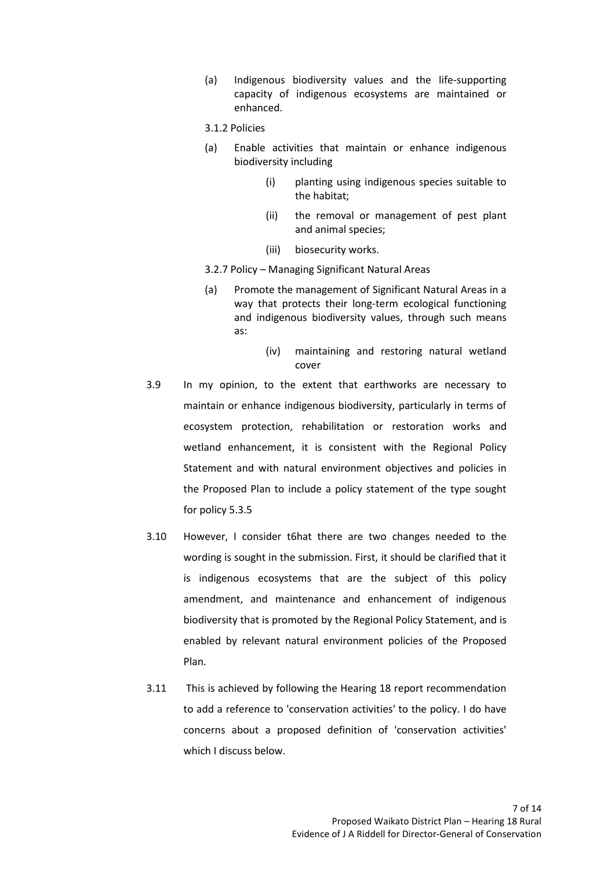(a) Indigenous biodiversity values and the life-supporting capacity of indigenous ecosystems are maintained or enhanced.

### 3.1.2 Policies

- (a) Enable activities that maintain or enhance indigenous biodiversity including
	- (i) planting using indigenous species suitable to the habitat;
	- (ii) the removal or management of pest plant and animal species;
	- (iii) biosecurity works.
- 3.2.7 Policy Managing Significant Natural Areas
- (a) Promote the management of Significant Natural Areas in a way that protects their long-term ecological functioning and indigenous biodiversity values, through such means as:
	- (iv) maintaining and restoring natural wetland cover
- 3.9 In my opinion, to the extent that earthworks are necessary to maintain or enhance indigenous biodiversity, particularly in terms of ecosystem protection, rehabilitation or restoration works and wetland enhancement, it is consistent with the Regional Policy Statement and with natural environment objectives and policies in the Proposed Plan to include a policy statement of the type sought for policy 5.3.5
- 3.10 However, I consider t6hat there are two changes needed to the wording is sought in the submission. First, it should be clarified that it is indigenous ecosystems that are the subject of this policy amendment, and maintenance and enhancement of indigenous biodiversity that is promoted by the Regional Policy Statement, and is enabled by relevant natural environment policies of the Proposed Plan.
- 3.11 This is achieved by following the Hearing 18 report recommendation to add a reference to 'conservation activities' to the policy. I do have concerns about a proposed definition of 'conservation activities' which I discuss below.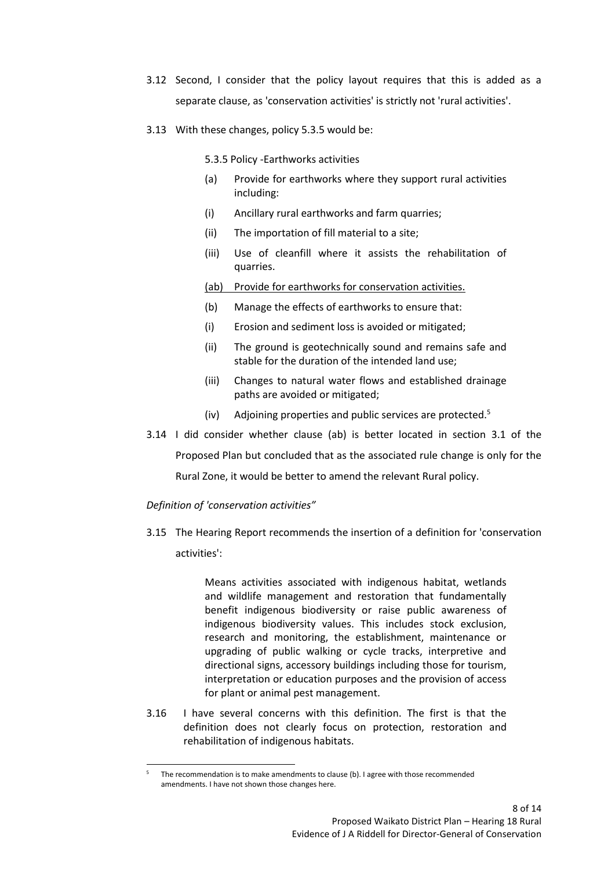- 3.12 Second, I consider that the policy layout requires that this is added as a separate clause, as 'conservation activities' is strictly not 'rural activities'.
- 3.13 With these changes, policy 5.3.5 would be:

5.3.5 Policy -Earthworks activities

- (a) Provide for earthworks where they support rural activities including:
- (i) Ancillary rural earthworks and farm quarries;
- (ii) The importation of fill material to a site;
- (iii) Use of cleanfill where it assists the rehabilitation of quarries.

(ab) Provide for earthworks for conservation activities.

- (b) Manage the effects of earthworks to ensure that:
- (i) Erosion and sediment loss is avoided or mitigated;
- (ii) The ground is geotechnically sound and remains safe and stable for the duration of the intended land use;
- (iii) Changes to natural water flows and established drainage paths are avoided or mitigated;
- (iv) Adjoining properties and public services are protected.<sup>5</sup>
- 3.14 I did consider whether clause (ab) is better located in section 3.1 of the Proposed Plan but concluded that as the associated rule change is only for the Rural Zone, it would be better to amend the relevant Rural policy.

# *Definition of 'conservation activities"*

3.15 The Hearing Report recommends the insertion of a definition for 'conservation activities':

> Means activities associated with indigenous habitat, wetlands and wildlife management and restoration that fundamentally benefit indigenous biodiversity or raise public awareness of indigenous biodiversity values. This includes stock exclusion, research and monitoring, the establishment, maintenance or upgrading of public walking or cycle tracks, interpretive and directional signs, accessory buildings including those for tourism, interpretation or education purposes and the provision of access for plant or animal pest management.

3.16 I have several concerns with this definition. The first is that the definition does not clearly focus on protection, restoration and rehabilitation of indigenous habitats.

<sup>5</sup> The recommendation is to make amendments to clause (b). I agree with those recommended amendments. I have not shown those changes here.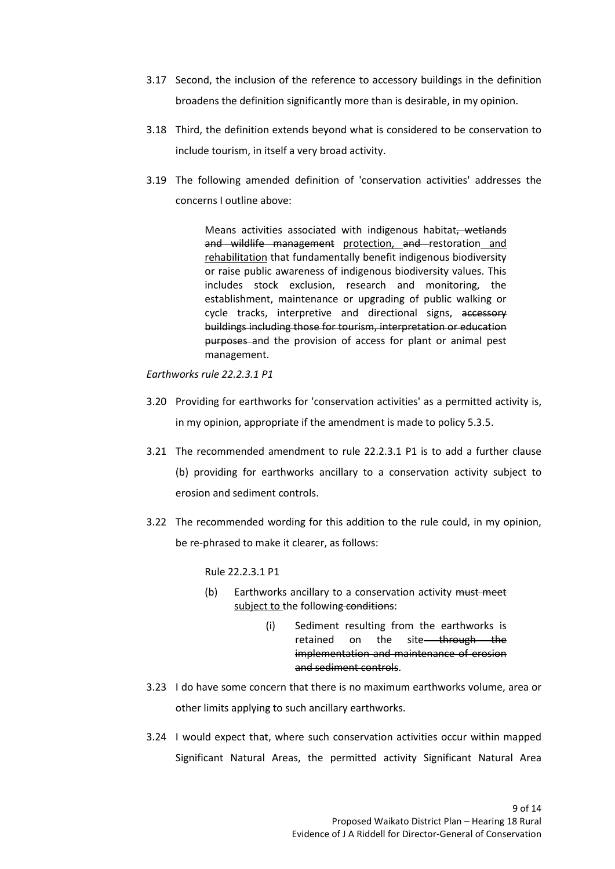- 3.17 Second, the inclusion of the reference to accessory buildings in the definition broadens the definition significantly more than is desirable, in my opinion.
- 3.18 Third, the definition extends beyond what is considered to be conservation to include tourism, in itself a very broad activity.
- 3.19 The following amended definition of 'conservation activities' addresses the concerns I outline above:

Means activities associated with indigenous habitat, wetlands and wildlife management protection, and restoration and rehabilitation that fundamentally benefit indigenous biodiversity or raise public awareness of indigenous biodiversity values. This includes stock exclusion, research and monitoring, the establishment, maintenance or upgrading of public walking or cycle tracks, interpretive and directional signs, accessory buildings including those for tourism, interpretation or education purposes and the provision of access for plant or animal pest management.

*Earthworks rule 22.2.3.1 P1*

- 3.20 Providing for earthworks for 'conservation activities' as a permitted activity is, in my opinion, appropriate if the amendment is made to policy 5.3.5.
- 3.21 The recommended amendment to rule 22.2.3.1 P1 is to add a further clause (b) providing for earthworks ancillary to a conservation activity subject to erosion and sediment controls.
- 3.22 The recommended wording for this addition to the rule could, in my opinion, be re-phrased to make it clearer, as follows:

Rule 22.2.3.1 P1

- (b) Earthworks ancillary to a conservation activity must meet subject to the following conditions:
	- (i) Sediment resulting from the earthworks is retained on the site<del> through the</del> implementation and maintenance of erosion and sediment controls.
- 3.23 I do have some concern that there is no maximum earthworks volume, area or other limits applying to such ancillary earthworks.
- 3.24 I would expect that, where such conservation activities occur within mapped Significant Natural Areas, the permitted activity Significant Natural Area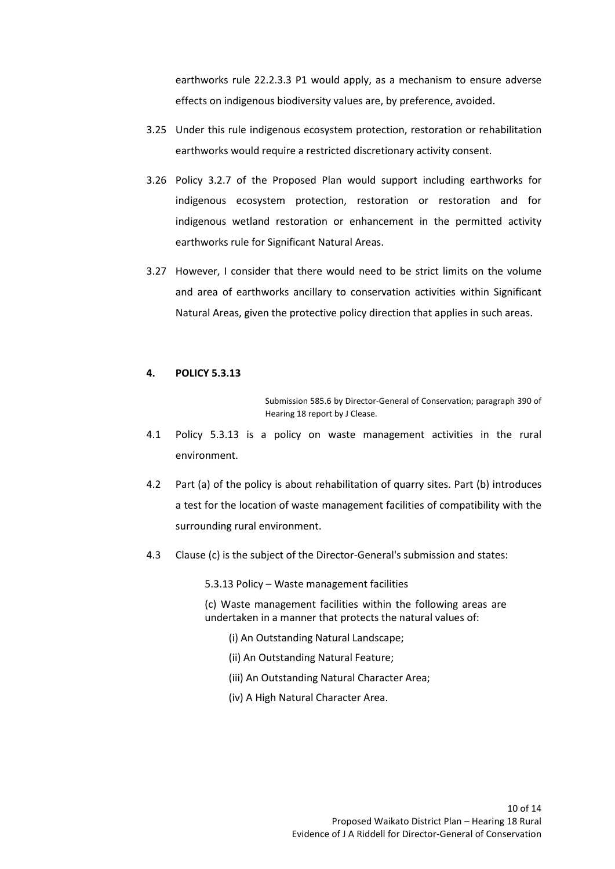earthworks rule 22.2.3.3 P1 would apply, as a mechanism to ensure adverse effects on indigenous biodiversity values are, by preference, avoided.

- 3.25 Under this rule indigenous ecosystem protection, restoration or rehabilitation earthworks would require a restricted discretionary activity consent.
- 3.26 Policy 3.2.7 of the Proposed Plan would support including earthworks for indigenous ecosystem protection, restoration or restoration and for indigenous wetland restoration or enhancement in the permitted activity earthworks rule for Significant Natural Areas.
- 3.27 However, I consider that there would need to be strict limits on the volume and area of earthworks ancillary to conservation activities within Significant Natural Areas, given the protective policy direction that applies in such areas.

### **4. POLICY 5.3.13**

Submission 585.6 by Director-General of Conservation; paragraph 390 of Hearing 18 report by J Clease.

- 4.1 Policy 5.3.13 is a policy on waste management activities in the rural environment.
- 4.2 Part (a) of the policy is about rehabilitation of quarry sites. Part (b) introduces a test for the location of waste management facilities of compatibility with the surrounding rural environment.
- 4.3 Clause (c) is the subject of the Director-General's submission and states:

5.3.13 Policy – Waste management facilities

(c) Waste management facilities within the following areas are undertaken in a manner that protects the natural values of:

- (i) An Outstanding Natural Landscape;
- (ii) An Outstanding Natural Feature;
- (iii) An Outstanding Natural Character Area;
- (iv) A High Natural Character Area.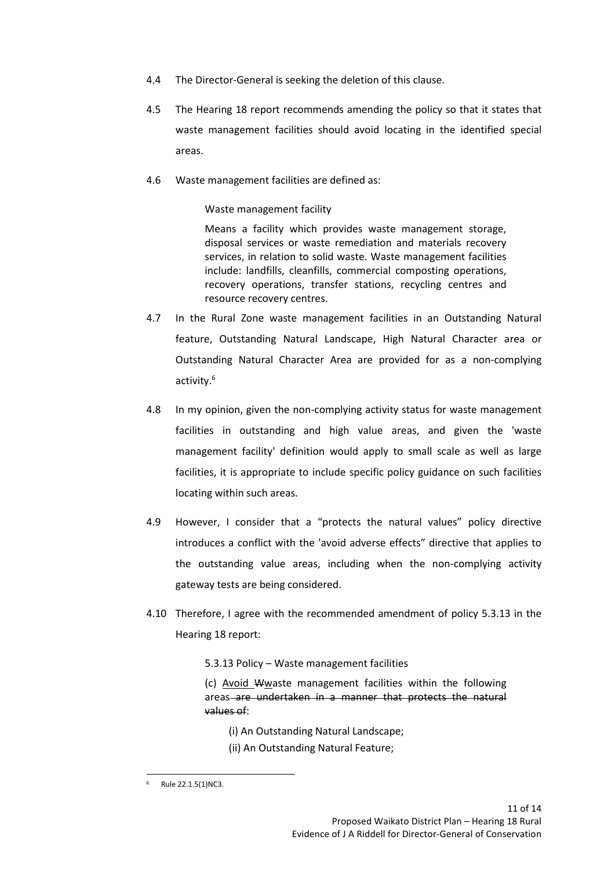- 4.4 The Director-General is seeking the deletion of this clause.
- 4.5 The Hearing 18 report recommends amending the policy so that it states that waste management facilities should avoid locating in the identified special areas.
- 4.6 Waste management facilities are defined as:

Waste management facility

Means a facility which provides waste management storage, disposal services or waste remediation and materials recovery services, in relation to solid waste. Waste management facilities include: landfills, cleanfills, commercial composting operations, recovery operations, transfer stations, recycling centres and resource recovery centres.

- 4.7 In the Rural Zone waste management facilities in an Outstanding Natural feature, Outstanding Natural Landscape, High Natural Character area or Outstanding Natural Character Area are provided for as a non-complying activity.<sup>6</sup>
- 4.8 In my opinion, given the non-complying activity status for waste management facilities in outstanding and high value areas, and given the 'waste management facility' definition would apply to small scale as well as large facilities, it is appropriate to include specific policy guidance on such facilities locating within such areas.
- 4.9 However, I consider that a "protects the natural values" policy directive introduces a conflict with the 'avoid adverse effects" directive that applies to the outstanding value areas, including when the non-complying activity gateway tests are being considered.
- 4.10 Therefore, I agree with the recommended amendment of policy 5.3.13 in the Hearing 18 report:
	- 5.3.13 Policy Waste management facilities

(c) Avoid Wwaste management facilities within the following areas are undertaken in a manner that protects the natural values of:

- (i) An Outstanding Natural Landscape;
- (ii) An Outstanding Natural Feature;

Rule 22.1.5(1)NC3.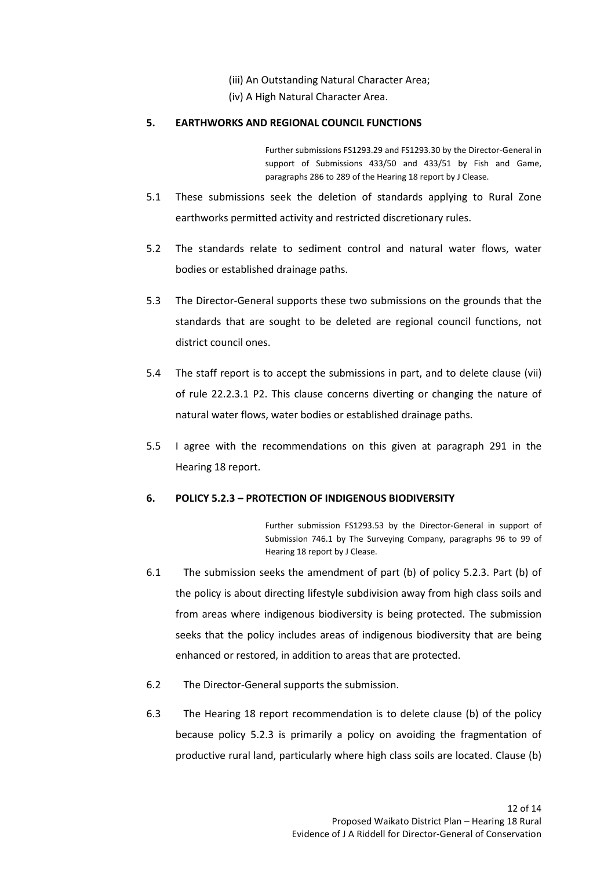- (iii) An Outstanding Natural Character Area;
- (iv) A High Natural Character Area.

# **5. EARTHWORKS AND REGIONAL COUNCIL FUNCTIONS**

Further submissions FS1293.29 and FS1293.30 by the Director-General in support of Submissions 433/50 and 433/51 by Fish and Game, paragraphs 286 to 289 of the Hearing 18 report by J Clease.

- 5.1 These submissions seek the deletion of standards applying to Rural Zone earthworks permitted activity and restricted discretionary rules.
- 5.2 The standards relate to sediment control and natural water flows, water bodies or established drainage paths.
- 5.3 The Director-General supports these two submissions on the grounds that the standards that are sought to be deleted are regional council functions, not district council ones.
- 5.4 The staff report is to accept the submissions in part, and to delete clause (vii) of rule 22.2.3.1 P2. This clause concerns diverting or changing the nature of natural water flows, water bodies or established drainage paths.
- 5.5 I agree with the recommendations on this given at paragraph 291 in the Hearing 18 report.

## **6. POLICY 5.2.3 – PROTECTION OF INDIGENOUS BIODIVERSITY**

Further submission FS1293.53 by the Director-General in support of Submission 746.1 by The Surveying Company, paragraphs 96 to 99 of Hearing 18 report by J Clease.

- 6.1 The submission seeks the amendment of part (b) of policy 5.2.3. Part (b) of the policy is about directing lifestyle subdivision away from high class soils and from areas where indigenous biodiversity is being protected. The submission seeks that the policy includes areas of indigenous biodiversity that are being enhanced or restored, in addition to areas that are protected.
- 6.2 The Director-General supports the submission.
- 6.3 The Hearing 18 report recommendation is to delete clause (b) of the policy because policy 5.2.3 is primarily a policy on avoiding the fragmentation of productive rural land, particularly where high class soils are located. Clause (b)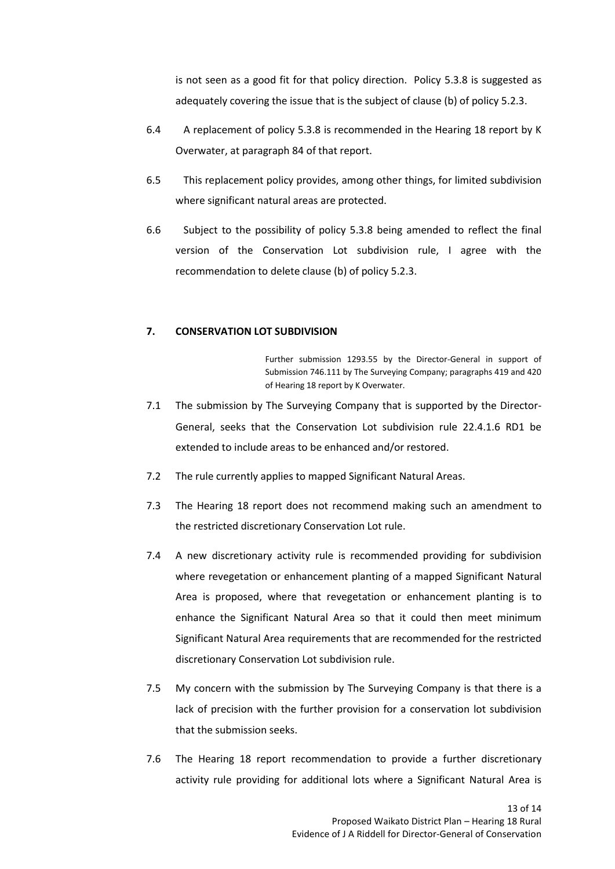is not seen as a good fit for that policy direction. Policy 5.3.8 is suggested as adequately covering the issue that is the subject of clause (b) of policy 5.2.3.

- 6.4 A replacement of policy 5.3.8 is recommended in the Hearing 18 report by K Overwater, at paragraph 84 of that report.
- 6.5 This replacement policy provides, among other things, for limited subdivision where significant natural areas are protected.
- 6.6 Subject to the possibility of policy 5.3.8 being amended to reflect the final version of the Conservation Lot subdivision rule, I agree with the recommendation to delete clause (b) of policy 5.2.3.

## **7. CONSERVATION LOT SUBDIVISION**

Further submission 1293.55 by the Director-General in support of Submission 746.111 by The Surveying Company; paragraphs 419 and 420 of Hearing 18 report by K Overwater.

- 7.1 The submission by The Surveying Company that is supported by the Director-General, seeks that the Conservation Lot subdivision rule 22.4.1.6 RD1 be extended to include areas to be enhanced and/or restored.
- 7.2 The rule currently applies to mapped Significant Natural Areas.
- 7.3 The Hearing 18 report does not recommend making such an amendment to the restricted discretionary Conservation Lot rule.
- 7.4 A new discretionary activity rule is recommended providing for subdivision where revegetation or enhancement planting of a mapped Significant Natural Area is proposed, where that revegetation or enhancement planting is to enhance the Significant Natural Area so that it could then meet minimum Significant Natural Area requirements that are recommended for the restricted discretionary Conservation Lot subdivision rule.
- 7.5 My concern with the submission by The Surveying Company is that there is a lack of precision with the further provision for a conservation lot subdivision that the submission seeks.
- 7.6 The Hearing 18 report recommendation to provide a further discretionary activity rule providing for additional lots where a Significant Natural Area is